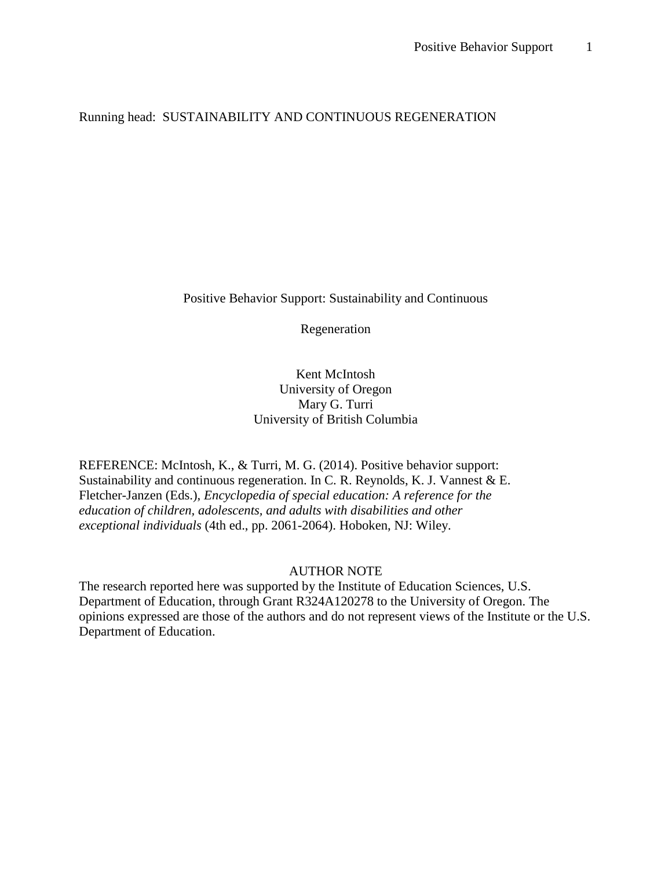## Running head: SUSTAINABILITY AND CONTINUOUS REGENERATION

Positive Behavior Support: Sustainability and Continuous

Regeneration

Kent McIntosh University of Oregon Mary G. Turri University of British Columbia

REFERENCE: McIntosh, K., & Turri, M. G. (2014). Positive behavior support: Sustainability and continuous regeneration. In C. R. Reynolds, K. J. Vannest & E. Fletcher-Janzen (Eds.), *Encyclopedia of special education: A reference for the education of children, adolescents, and adults with disabilities and other exceptional individuals* (4th ed., pp. 2061-2064). Hoboken, NJ: Wiley.

### AUTHOR NOTE

The research reported here was supported by the Institute of Education Sciences, U.S. Department of Education, through Grant R324A120278 to the University of Oregon. The opinions expressed are those of the authors and do not represent views of the Institute or the U.S. Department of Education.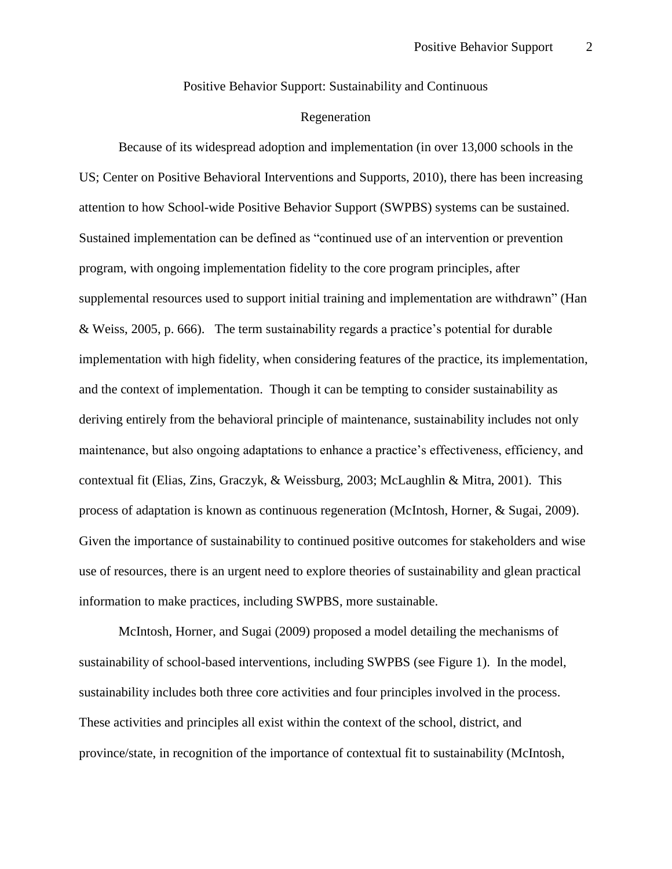Positive Behavior Support: Sustainability and Continuous

### Regeneration

Because of its widespread adoption and implementation [\(in over 13,000 schools in the](#page-6-0)  [US; Center on Positive Behavioral Interventions and Supports, 2010\)](#page-6-0), there has been increasing attention to how School-wide Positive Behavior Support (SWPBS) systems can be sustained. Sustained implementation can be defined as "continued use of an intervention or prevention program, with ongoing implementation fidelity to the core program principles, after supplemental resources used to support initial training and implementation are withdrawn" [\(Han](#page-6-1)  [& Weiss, 2005, p. 666\)](#page-6-1). The term sustainability regards a practice's potential for durable implementation with high fidelity, when considering features of the practice, its implementation, and the context of implementation. Though it can be tempting to consider sustainability as deriving entirely from the behavioral principle of maintenance, sustainability includes not only maintenance, but also ongoing adaptations to enhance a practice's effectiveness, efficiency, and contextual fit [\(Elias, Zins, Graczyk, & Weissburg, 2003;](#page-6-2) [McLaughlin & Mitra, 2001\)](#page-8-0). This process of adaptation is known as continuous regeneration [\(McIntosh, Horner, & Sugai, 2009\)](#page-7-0). Given the importance of sustainability to continued positive outcomes for stakeholders and wise use of resources, there is an urgent need to explore theories of sustainability and glean practical information to make practices, including SWPBS, more sustainable.

McIntosh, Horner, and Sugai (2009) proposed a model detailing the mechanisms of sustainability of school-based interventions, including SWPBS (see Figure 1). In the model, sustainability includes both three core activities and four principles involved in the process. These activities and principles all exist within the context of the school, district, and province/state, in recognition of the importance of contextual fit to sustainability (McIntosh,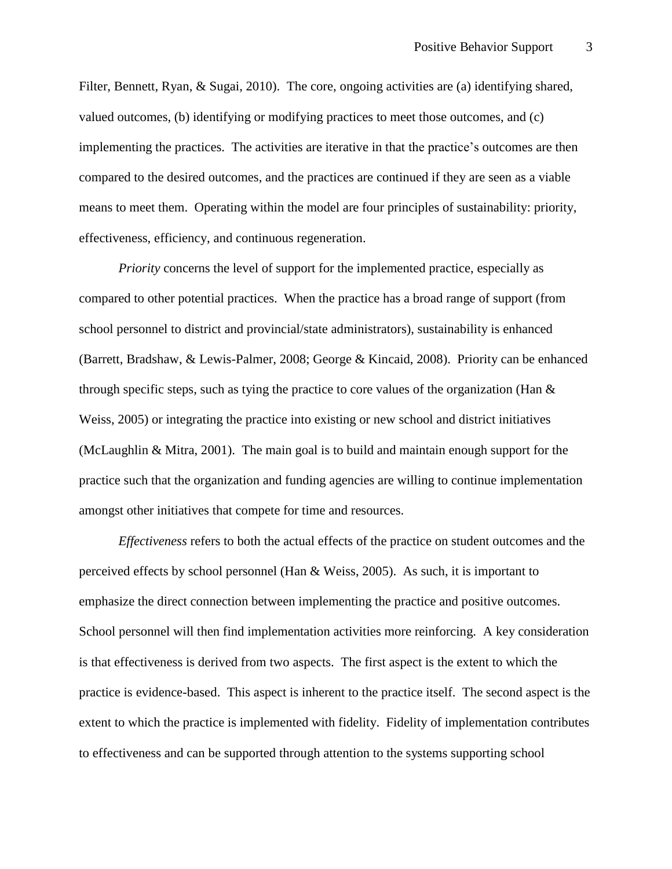Filter, Bennett, Ryan, & Sugai, 2010). The core, ongoing activities are (a) identifying shared, valued outcomes, (b) identifying or modifying practices to meet those outcomes, and (c) implementing the practices. The activities are iterative in that the practice's outcomes are then compared to the desired outcomes, and the practices are continued if they are seen as a viable means to meet them. Operating within the model are four principles of sustainability: priority, effectiveness, efficiency, and continuous regeneration.

*Priority* concerns the level of support for the implemented practice, especially as compared to other potential practices. When the practice has a broad range of support (from school personnel to district and provincial/state administrators), sustainability is enhanced [\(Barrett, Bradshaw, & Lewis-Palmer, 2008;](#page-6-3) [George & Kincaid, 2008\)](#page-6-4). Priority can be enhanced through specific steps, such as tying the practice to core values of the organization (Han  $\&$ Weiss, 2005) or integrating the practice into existing or new school and district initiatives [\(McLaughlin & Mitra, 2001\)](#page-8-0). The main goal is to build and maintain enough support for the practice such that the organization and funding agencies are willing to continue implementation amongst other initiatives that compete for time and resources.

*Effectiveness* refers to both the actual effects of the practice on student outcomes and the perceived effects by school personnel [\(Han & Weiss, 2005\)](#page-6-1). As such, it is important to emphasize the direct connection between implementing the practice and positive outcomes. School personnel will then find implementation activities more reinforcing. A key consideration is that effectiveness is derived from two aspects. The first aspect is the extent to which the practice is evidence-based. This aspect is inherent to the practice itself. The second aspect is the extent to which the practice is implemented with fidelity. Fidelity of implementation contributes to effectiveness and can be supported through attention to the systems supporting school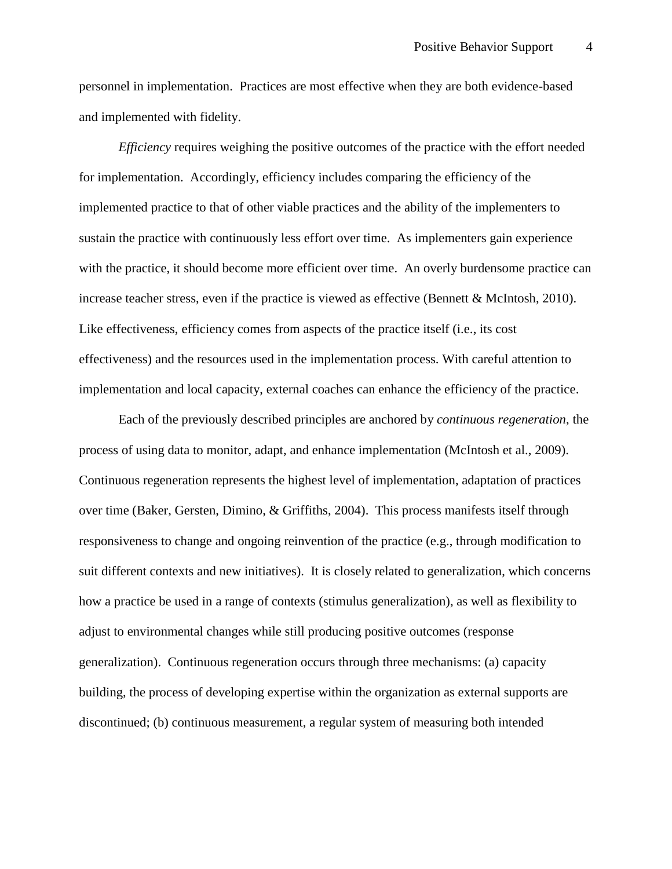personnel in implementation. Practices are most effective when they are both evidence-based and implemented with fidelity.

*Efficiency* requires weighing the positive outcomes of the practice with the effort needed for implementation. Accordingly, efficiency includes comparing the efficiency of the implemented practice to that of other viable practices and the ability of the implementers to sustain the practice with continuously less effort over time. As implementers gain experience with the practice, it should become more efficient over time. An overly burdensome practice can increase teacher stress, even if the practice is viewed as effective [\(Bennett & McIntosh, 2010\)](#page-6-5). Like effectiveness, efficiency comes from aspects of the practice itself (i.e., its cost effectiveness) and the resources used in the implementation process. With careful attention to implementation and local capacity, external coaches can enhance the efficiency of the practice.

Each of the previously described principles are anchored by *continuous regeneration*, the process of using data to monitor, adapt, and enhance implementation [\(McIntosh et al., 2009\)](#page-7-0). Continuous regeneration represents the highest level of implementation, adaptation of practices over time (Baker, Gersten, Dimino, & Griffiths, 2004). This process manifests itself through responsiveness to change and ongoing reinvention of the practice (e.g., through modification to suit different contexts and new initiatives). It is closely related to generalization, which concerns how a practice be used in a range of contexts (stimulus generalization), as well as flexibility to adjust to environmental changes while still producing positive outcomes (response generalization). Continuous regeneration occurs through three mechanisms: (a) capacity building, the process of developing expertise within the organization as external supports are discontinued; (b) continuous measurement, a regular system of measuring both intended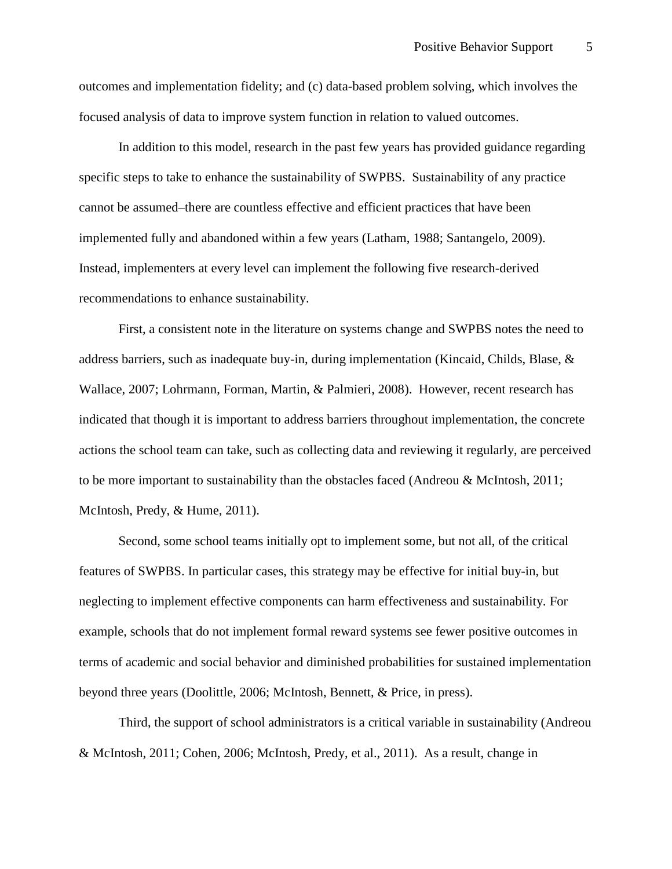outcomes and implementation fidelity; and (c) data-based problem solving, which involves the focused analysis of data to improve system function in relation to valued outcomes.

In addition to this model, research in the past few years has provided guidance regarding specific steps to take to enhance the sustainability of SWPBS. Sustainability of any practice cannot be assumed–there are countless effective and efficient practices that have been implemented fully and abandoned within a few years [\(Latham, 1988;](#page-7-1) [Santangelo, 2009\)](#page-8-1). Instead, implementers at every level can implement the following five research-derived recommendations to enhance sustainability.

First, a consistent note in the literature on systems change and SWPBS notes the need to address barriers, such as inadequate buy-in, during implementation [\(Kincaid, Childs, Blase, &](#page-7-2)  [Wallace, 2007;](#page-7-2) [Lohrmann, Forman, Martin, & Palmieri, 2008\)](#page-7-3). However, recent research has indicated that though it is important to address barriers throughout implementation, the concrete actions the school team can take, such as collecting data and reviewing it regularly, are perceived to be more important to sustainability than the obstacles faced [\(Andreou & McIntosh, 2011;](#page-6-6) [McIntosh, Predy, & Hume, 2011\)](#page-7-4).

Second, some school teams initially opt to implement some, but not all, of the critical features of SWPBS. In particular cases, this strategy may be effective for initial buy-in, but neglecting to implement effective components can harm effectiveness and sustainability. For example, schools that do not implement formal reward systems see fewer positive outcomes in terms of academic and social behavior and diminished probabilities for sustained implementation beyond three years [\(Doolittle, 2006;](#page-6-7) [McIntosh, Bennett, & Price, in press\)](#page-7-5).

Third, the support of school administrators is a critical variable in sustainability [\(Andreou](#page-6-6)  [& McIntosh, 2011;](#page-6-6) [Cohen, 2006;](#page-6-8) [McIntosh, Predy, et al., 2011\)](#page-7-4). As a result, change in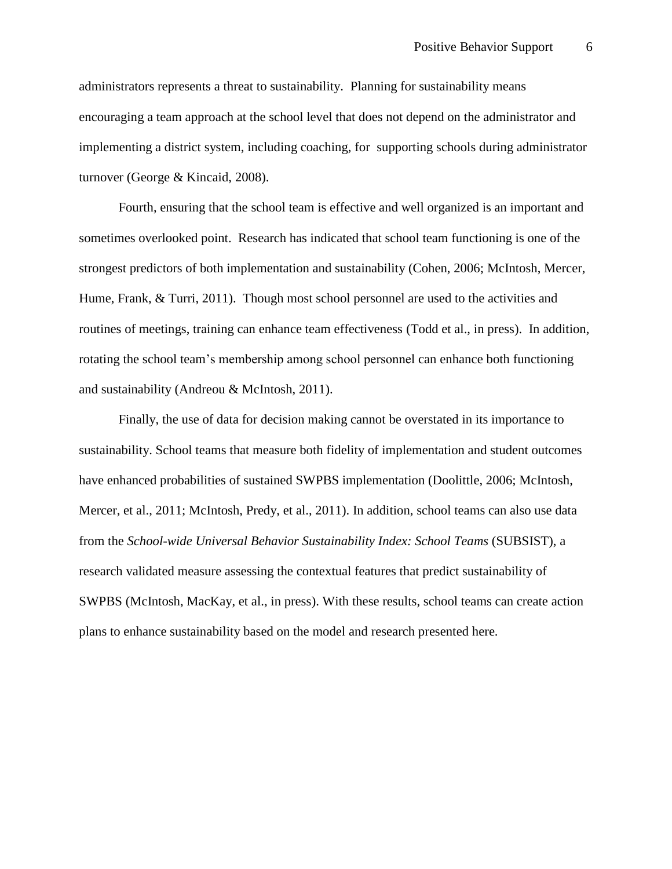administrators represents a threat to sustainability. Planning for sustainability means encouraging a team approach at the school level that does not depend on the administrator and implementing a district system, including coaching, for supporting schools during administrator turnover [\(George & Kincaid, 2008\)](#page-6-4).

Fourth, ensuring that the school team is effective and well organized is an important and sometimes overlooked point. Research has indicated that school team functioning is one of the strongest predictors of both implementation and sustainability [\(Cohen, 2006;](#page-6-8) [McIntosh, Mercer,](#page-7-6)  [Hume, Frank, & Turri, 2011\)](#page-7-6). Though most school personnel are used to the activities and routines of meetings, training can enhance team effectiveness [\(Todd et al., in press\)](#page-8-2). In addition, rotating the school team's membership among school personnel can enhance both functioning and sustainability [\(Andreou & McIntosh, 2011\)](#page-6-6).

Finally, the use of data for decision making cannot be overstated in its importance to sustainability. School teams that measure both fidelity of implementation and student outcomes have enhanced probabilities of sustained SWPBS implementation [\(Doolittle, 2006;](#page-6-7) [McIntosh,](#page-7-6)  [Mercer, et al., 2011;](#page-7-6) [McIntosh, Predy, et al., 2011\)](#page-7-4). In addition, school teams can also use data from the *School-wide Universal Behavior Sustainability Index: School Teams* (SUBSIST), a research validated measure assessing the contextual features that predict sustainability of SWPBS [\(McIntosh, MacKay, et al., in press\)](#page-7-7). With these results, school teams can create action plans to enhance sustainability based on the model and research presented here.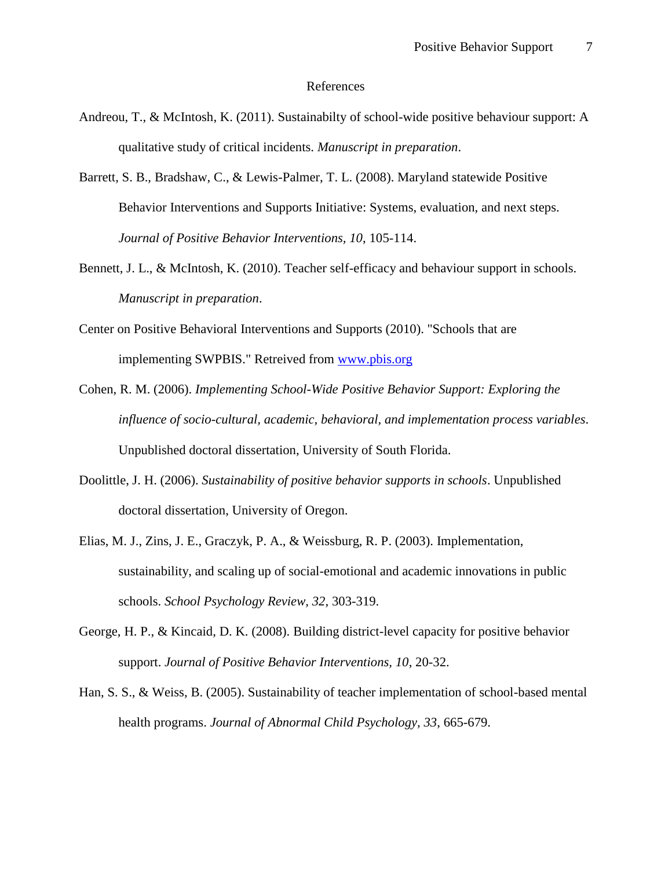#### References

- <span id="page-6-6"></span>Andreou, T., & McIntosh, K. (2011). Sustainabilty of school-wide positive behaviour support: A qualitative study of critical incidents. *Manuscript in preparation*.
- <span id="page-6-3"></span>Barrett, S. B., Bradshaw, C., & Lewis-Palmer, T. L. (2008). Maryland statewide Positive Behavior Interventions and Supports Initiative: Systems, evaluation, and next steps. *Journal of Positive Behavior Interventions, 10*, 105-114.
- <span id="page-6-5"></span>Bennett, J. L., & McIntosh, K. (2010). Teacher self-efficacy and behaviour support in schools. *Manuscript in preparation*.
- <span id="page-6-0"></span>Center on Positive Behavioral Interventions and Supports (2010). "Schools that are implementing SWPBIS." Retreived from [www.pbis.org](http://www.pbis.org/)
- <span id="page-6-8"></span>Cohen, R. M. (2006). *Implementing School-Wide Positive Behavior Support: Exploring the influence of socio-cultural, academic, behavioral, and implementation process variables*. Unpublished doctoral dissertation, University of South Florida.
- <span id="page-6-7"></span>Doolittle, J. H. (2006). *Sustainability of positive behavior supports in schools*. Unpublished doctoral dissertation, University of Oregon.
- <span id="page-6-2"></span>Elias, M. J., Zins, J. E., Graczyk, P. A., & Weissburg, R. P. (2003). Implementation, sustainability, and scaling up of social-emotional and academic innovations in public schools. *School Psychology Review, 32*, 303-319.
- <span id="page-6-4"></span>George, H. P., & Kincaid, D. K. (2008). Building district-level capacity for positive behavior support. *Journal of Positive Behavior Interventions, 10*, 20-32.
- <span id="page-6-1"></span>Han, S. S., & Weiss, B. (2005). Sustainability of teacher implementation of school-based mental health programs. *Journal of Abnormal Child Psychology, 33*, 665-679.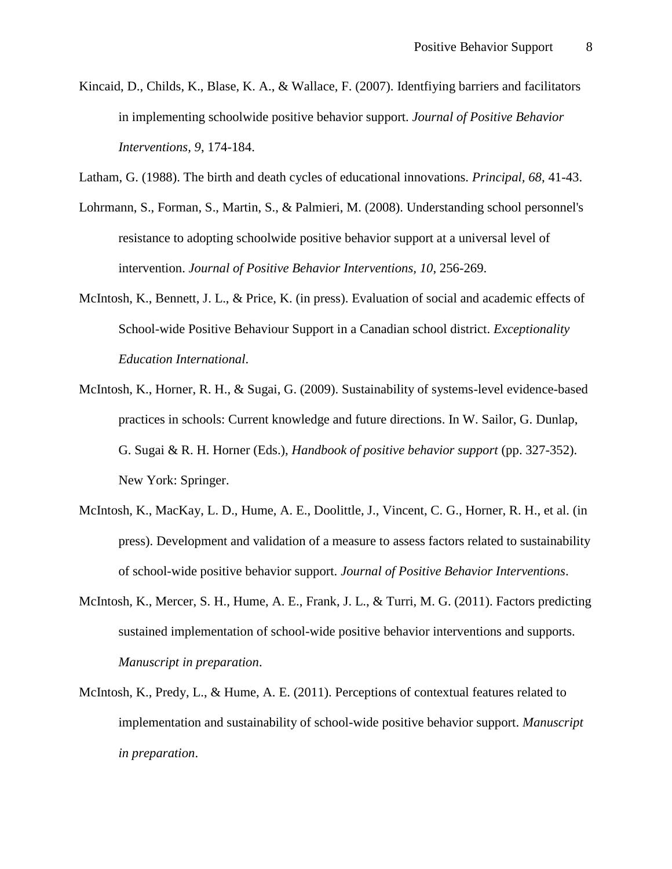- <span id="page-7-2"></span>Kincaid, D., Childs, K., Blase, K. A., & Wallace, F. (2007). Identfiying barriers and facilitators in implementing schoolwide positive behavior support. *Journal of Positive Behavior Interventions, 9*, 174-184.
- <span id="page-7-1"></span>Latham, G. (1988). The birth and death cycles of educational innovations. *Principal, 68*, 41-43.
- <span id="page-7-3"></span>Lohrmann, S., Forman, S., Martin, S., & Palmieri, M. (2008). Understanding school personnel's resistance to adopting schoolwide positive behavior support at a universal level of intervention. *Journal of Positive Behavior Interventions, 10*, 256-269.
- <span id="page-7-5"></span>McIntosh, K., Bennett, J. L., & Price, K. (in press). Evaluation of social and academic effects of School-wide Positive Behaviour Support in a Canadian school district. *Exceptionality Education International*.
- <span id="page-7-0"></span>McIntosh, K., Horner, R. H., & Sugai, G. (2009). Sustainability of systems-level evidence-based practices in schools: Current knowledge and future directions. In W. Sailor, G. Dunlap, G. Sugai & R. H. Horner (Eds.), *Handbook of positive behavior support* (pp. 327-352). New York: Springer.
- <span id="page-7-7"></span>McIntosh, K., MacKay, L. D., Hume, A. E., Doolittle, J., Vincent, C. G., Horner, R. H., et al. (in press). Development and validation of a measure to assess factors related to sustainability of school-wide positive behavior support. *Journal of Positive Behavior Interventions*.
- <span id="page-7-6"></span>McIntosh, K., Mercer, S. H., Hume, A. E., Frank, J. L., & Turri, M. G. (2011). Factors predicting sustained implementation of school-wide positive behavior interventions and supports. *Manuscript in preparation*.
- <span id="page-7-4"></span>McIntosh, K., Predy, L., & Hume, A. E. (2011). Perceptions of contextual features related to implementation and sustainability of school-wide positive behavior support. *Manuscript in preparation*.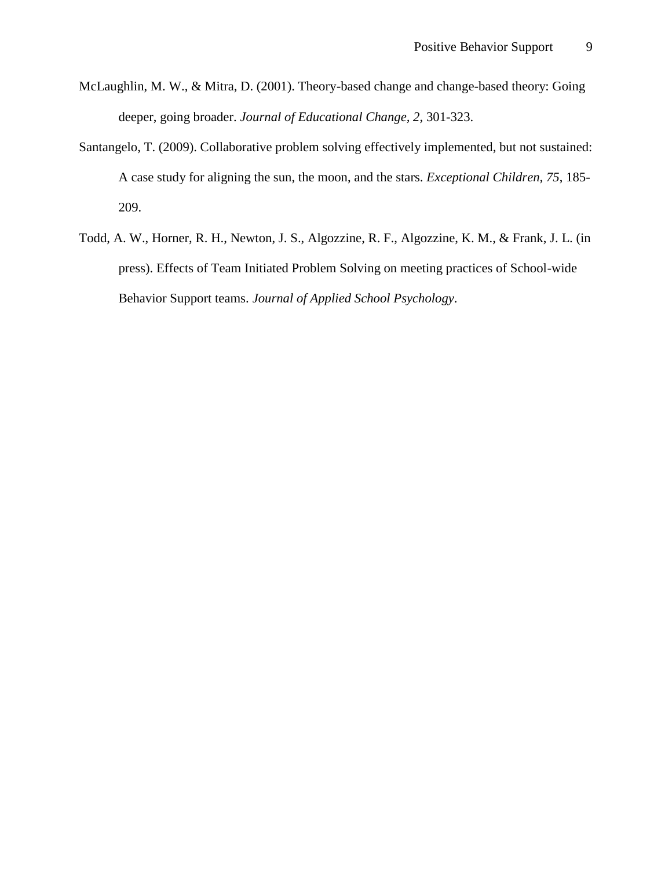- <span id="page-8-0"></span>McLaughlin, M. W., & Mitra, D. (2001). Theory-based change and change-based theory: Going deeper, going broader. *Journal of Educational Change, 2*, 301-323.
- <span id="page-8-1"></span>Santangelo, T. (2009). Collaborative problem solving effectively implemented, but not sustained: A case study for aligning the sun, the moon, and the stars. *Exceptional Children, 75*, 185- 209.
- <span id="page-8-2"></span>Todd, A. W., Horner, R. H., Newton, J. S., Algozzine, R. F., Algozzine, K. M., & Frank, J. L. (in press). Effects of Team Initiated Problem Solving on meeting practices of School-wide Behavior Support teams. *Journal of Applied School Psychology*.